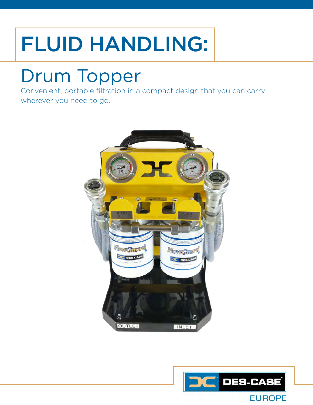## FLUID HANDLING:

### Drum Topper

Convenient, portable filtration in a compact design that you can carry wherever you need to go.



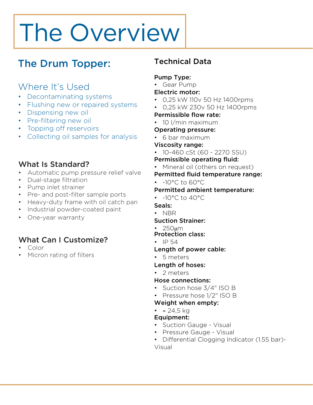# The Overview

### The Drum Topper:

### Where It's Used

- Decontaminating systems
- Flushing new or repaired systems
- Dispensing new oil
- Pre-filtering new oil
- Topping off reservoirs
- Collecting oil samples for analysis

#### What Is Standard?

- Automatic pump pressure relief valve
- Dual-stage filtration
- Pump inlet strainer
- Pre- and post-filter sample ports
- Heavy-duty frame with oil catch pan
- Industrial powder-coated paint
- One-year warranty

#### What Can I Customize?

- Color
- Micron rating of filters

#### Technical Data

#### Pump Type:

• Gear Pump

#### Electric motor:

- 0,25 kW 110v 50 Hz 1400rpms
- 0,25 kW 230v 50 Hz 1400rpms

#### Permissible flow rate:

• 10 *l/min maximum* 

#### Operating pressure:

• 6 bar maximum

#### Viscosity range:

• 10-460 cSt (60 - 2270 SSU)

#### Permissible operating fluid:

• Mineral oil (others on request)

#### Permitted fluid temperature range:

 $\cdot$  -10°C to 60°C

#### Permitted ambient temperature:

• -10°C to 40°C

#### Seals:

• NBR

#### Suction Strainer:

- 250µm
- Protection class:
- $\cdot$  IP 54

#### Length of power cable:

• 5 meters

#### Length of hoses:

• 2 meters

#### Hose connections:

- Suction hose 3/4" ISO B
- Pressure hose 1/2" ISO B
- Weight when empty:

#### •  $\approx 24.5 \text{ kg}$

#### Equipment:

- Suction Gauge Visual
- Pressure Gauge Visual
- Differential Clogging Indicator (1.55 bar)- Visual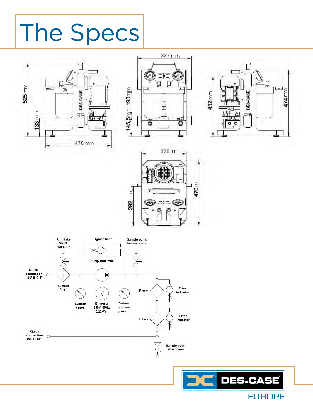# The Specs







11 Pre-Filter Sample Valve